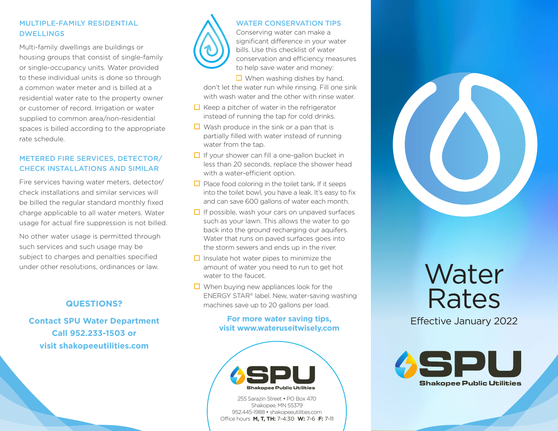### MULTIPLE-FAMILY RESIDENTIAL DWELLINGS

Multi-family dwellings are buildings or housing groups that consist of single-family or single-occupancy units. Water provided to these individual units is done so through a common water meter and is billed at a residential water rate to the property owner or customer of record. Irrigation or water supplied to common area/non-residential spaces is billed according to the appropriate rate schedule.

## METERED FIRE SERVICES, DETECTOR/ CHECK INSTALLATIONS AND SIMILAR

Fire services having water meters, detector/ check installations and similar services will be billed the regular standard monthly fixed charge applicable to all water meters. Water usage for actual fire suppression is not billed.

No other water usage is permitted through such services and such usage may be subject to charges and penalties specified under other resolutions, ordinances or law.

## **QUESTIONS?**

**Contact SPU Water Department Call 952.233-1503 or visit shakopeeutilities.com**



## WATER CONSERVATION TIPS

Conserving water can make a significant difference in your water bills. Use this checklist of water conservation and efficiency measures to help save water and money:

 $\Box$  When washing dishes by hand, don't let the water run while rinsing. Fill one sink with wash water and the other with rinse water.

- $\Box$  Keep a pitcher of water in the refrigerator instead of running the tap for cold drinks.
- $\Box$  Wash produce in the sink or a pan that is partially filled with water instead of running water from the tap.
- $\Box$  If your shower can fill a one-gallon bucket in less than 20 seconds, replace the shower head with a water-efficient option.
- $\Box$  Place food coloring in the toilet tank. If it seeps into the toilet bowl, you have a leak. It's easy to fix and can save 600 gallons of water each month.
- $\Box$  If possible, wash your cars on unpaved surfaces such as your lawn. This allows the water to go back into the ground recharging our aquifers. Water that runs on paved surfaces goes into the storm sewers and ends up in the river.
- $\Box$  Insulate hot water pipes to minimize the amount of water you need to run to get hot water to the faucet.
- $\Box$  When buying new appliances look for the ENERGY STAR® label. New, water-saving washing machines save up to 20 gallons per load.

## **For more water saving tips, visit www.wateruseitwisely.com**



255 Sarazin Street • PO Box 470 Shakopee, MN 55379 952.445-1988 • shakopeeutilities.com Office hours **M, T, TH:** 7-4:30 **W:** 7-6 **F:** 7-11



## Water Rates

Effective January 2022